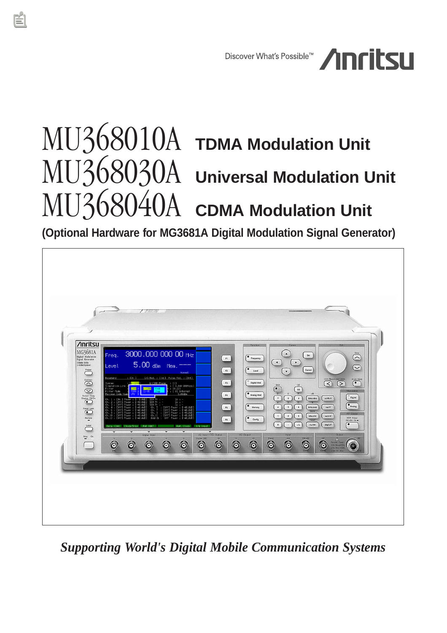

# MU368010A **TDMA Modulation Unit**  MU368030A **Universal Modulation Unit**  MU368040A **CDMA Modulation Unit**

**(Optional Hardware for MG3681A Digital Modulation Signal Generator)**



*Supporting World's Digital Mobile Communication Systems*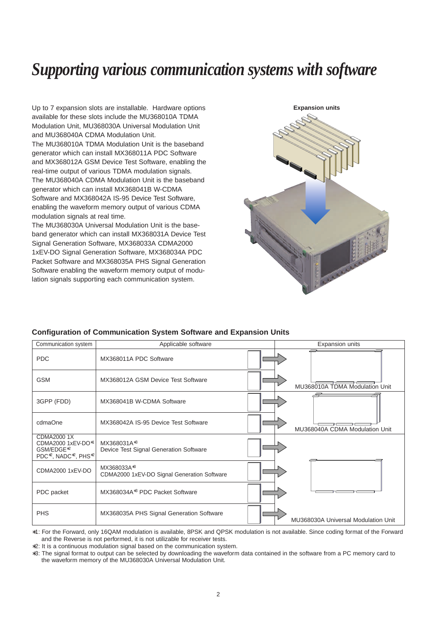# *Supporting various communication systems with software*

Up to 7 expansion slots are installable. Hardware options available for these slots include the MU368010A TDMA Modulation Unit, MU368030A Universal Modulation Unit and MU368040A CDMA Modulation Unit.

The MU368010A TDMA Modulation Unit is the baseband generator which can install MX368011A PDC Software and MX368012A GSM Device Test Software, enabling the real-time output of various TDMA modulation signals. The MU368040A CDMA Modulation Unit is the baseband generator which can install MX368041B W-CDMA Software and MX368042A IS-95 Device Test Software, enabling the waveform memory output of various CDMA modulation signals at real time.

The MU368030A Universal Modulation Unit is the baseband generator which can install MX368031A Device Test Signal Generation Software, MX368033A CDMA2000 1xEV-DO Signal Generation Software, MX368034A PDC Packet Software and MX368035A PHS Signal Generation Software enabling the waveform memory output of modulation signals supporting each communication system.



#### **Configuration of Communication System Software and Expansion Units**

| Communication system                                                                | Applicable software                                               |  | Expansion units                     |  |
|-------------------------------------------------------------------------------------|-------------------------------------------------------------------|--|-------------------------------------|--|
| <b>PDC</b>                                                                          | MX368011A PDC Software                                            |  |                                     |  |
| <b>GSM</b>                                                                          | MX368012A GSM Device Test Software                                |  | MU368010A TDMA Modulation Unit      |  |
| 3GPP (FDD)                                                                          | MX368041B W-CDMA Software                                         |  |                                     |  |
| cdmaOne                                                                             | MX368042A IS-95 Device Test Software                              |  | MU368040A CDMA Modulation Unit      |  |
| CDMA2000 1X<br>CDMA2000 1xEV-DO <sup>*1</sup><br>GSM/EDGE*2<br>PDC*2, NADC*2, PHS*2 | MX368031A <sup>*3</sup><br>Device Test Signal Generation Software |  |                                     |  |
| CDMA2000 1xEV-DO                                                                    | MX368033A*3<br>CDMA2000 1xEV-DO Signal Generation Software        |  |                                     |  |
| PDC packet                                                                          | MX368034A <sup>*3</sup> PDC Packet Software                       |  |                                     |  |
| <b>PHS</b>                                                                          | MX368035A PHS Signal Generation Software                          |  | MU368030A Universal Modulation Unit |  |

∗1: For the Forward, only 16QAM modulation is available, 8PSK and QPSK modulation is not available. Since coding format of the Forward and the Reverse is not performed, it is not utilizable for receiver tests.

∗2: It is a continuous modulation signal based on the communication system.

∗3: The signal format to output can be selected by downloading the waveform data contained in the software from a PC memory card to the waveform memory of the MU368030A Universal Modulation Unit.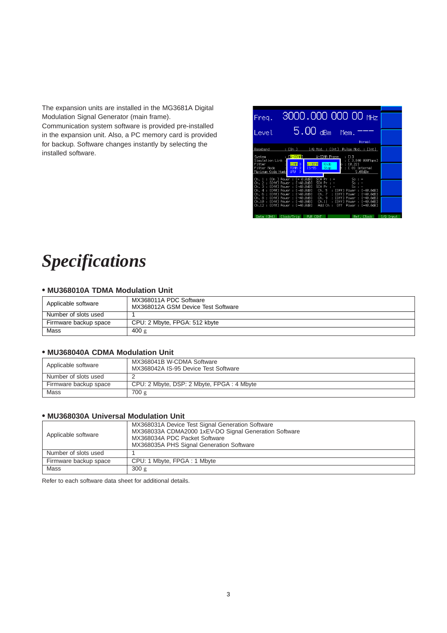The expansion units are installed in the MG3681A Digital Modulation Signal Generator (main frame). Communication system software is provided pre-installed in the expansion unit. Also, a PC memory card is provided for backup. Software changes instantly by selecting the installed software.

| Freq.                                      |                                                                     |                               | 3000.000 000 00 MHz                                    |           |
|--------------------------------------------|---------------------------------------------------------------------|-------------------------------|--------------------------------------------------------|-----------|
| I evel.                                    | $5.00$ dBm                                                          |                               | Mem.<br>Normal                                         |           |
|                                            |                                                                     |                               |                                                        |           |
| Baseband                                   | : [On ]                                                             |                               | I/Q Mod. : [Int] Pulse Mod. : [Int]                    |           |
| System<br>Simulation Link                  | : EU-CDMAI                                                          | <b>U-CDMA Phase</b>           | : [1]<br>[ 3.840 0001cps]                              |           |
| Filter<br>Filter Mode<br>Maximum Code Numb | <b>CDMAL</b> D<br>TDMA <sub>D</sub><br>$15 - 95$<br><b>UMU</b><br>Þ | <b>U-CDMA</b><br>Knob<br>Step | : [0.22]<br>ь<br>[ 0] Internal<br>٠<br>5.00dBm         |           |
|                                            |                                                                     | SCH Pr                        |                                                        |           |
| Ch. 1                                      | : [On ] Power : [- 0.0dB]<br>Ch. 2 : [Off] Power : [-40.0dB]        | I<br>SCH Pr                   | $5c:$ -<br>$Sc : -$                                    |           |
|                                            | Ch. 3 : [Off] Power : [-40.0dB]                                     | SCH Pr<br>$\mathbf{r}$        | Sc:                                                    |           |
| Ch.                                        | 4 : [Off] Power : [-40.0dB]<br>Ch. 6 : [Off] Power : [-40.0dB]      | Ch. 5<br>Ch. 7                | : [Off] Power : [-40.0dB]<br>: [Off] Power : [-40.0dB] |           |
|                                            | Ch. 8 : [Off] Power : [-40.0dB]                                     | Ch. 9                         | : [Off] Power : [-40.0dB]                              |           |
|                                            | Ch.10 : [Off] Power : [-40.0dB]                                     | Ch.11                         | : [Off] Power : [-40.0dB]                              |           |
|                                            | Ch.12 : [Off] Power : [-40.0dB]                                     | Add Oh :<br>0ff               | Power:<br>$[-40.0dB]$                                  |           |
| Data (CH4)                                 | Clock/Trig                                                          | PUR CONT                      | Ref. Clock                                             | I/0 Input |

# *Specifications*

# **• MU368010A TDMA Modulation Unit**

| Applicable software   | MX368011A PDC Software<br>MX368012A GSM Device Test Software |
|-----------------------|--------------------------------------------------------------|
| Number of slots used  |                                                              |
| Firmware backup space | CPU: 2 Mbyte, FPGA: 512 kbyte                                |
| Mass                  | 400 g                                                        |

### **• MU368040A CDMA Modulation Unit**

| Applicable software   | MX368041B W-CDMA Software<br>MX368042A IS-95 Device Test Software |
|-----------------------|-------------------------------------------------------------------|
| Number of slots used  |                                                                   |
| Firmware backup space | CPU: 2 Mbyte, DSP: 2 Mbyte, FPGA: 4 Mbyte                         |
| Mass                  | 700 g                                                             |

# **• MU368030A Universal Modulation Unit**

| Applicable software   | MX368031A Device Test Signal Generation Software<br>MX368033A CDMA2000 1xEV-DO Signal Generation Software<br>MX368034A PDC Packet Software<br>MX368035A PHS Signal Generation Software |
|-----------------------|----------------------------------------------------------------------------------------------------------------------------------------------------------------------------------------|
| Number of slots used  |                                                                                                                                                                                        |
| Firmware backup space | CPU: 1 Mbyte, FPGA: 1 Mbyte                                                                                                                                                            |
| Mass                  | 300 g                                                                                                                                                                                  |

Refer to each software data sheet for additional details.